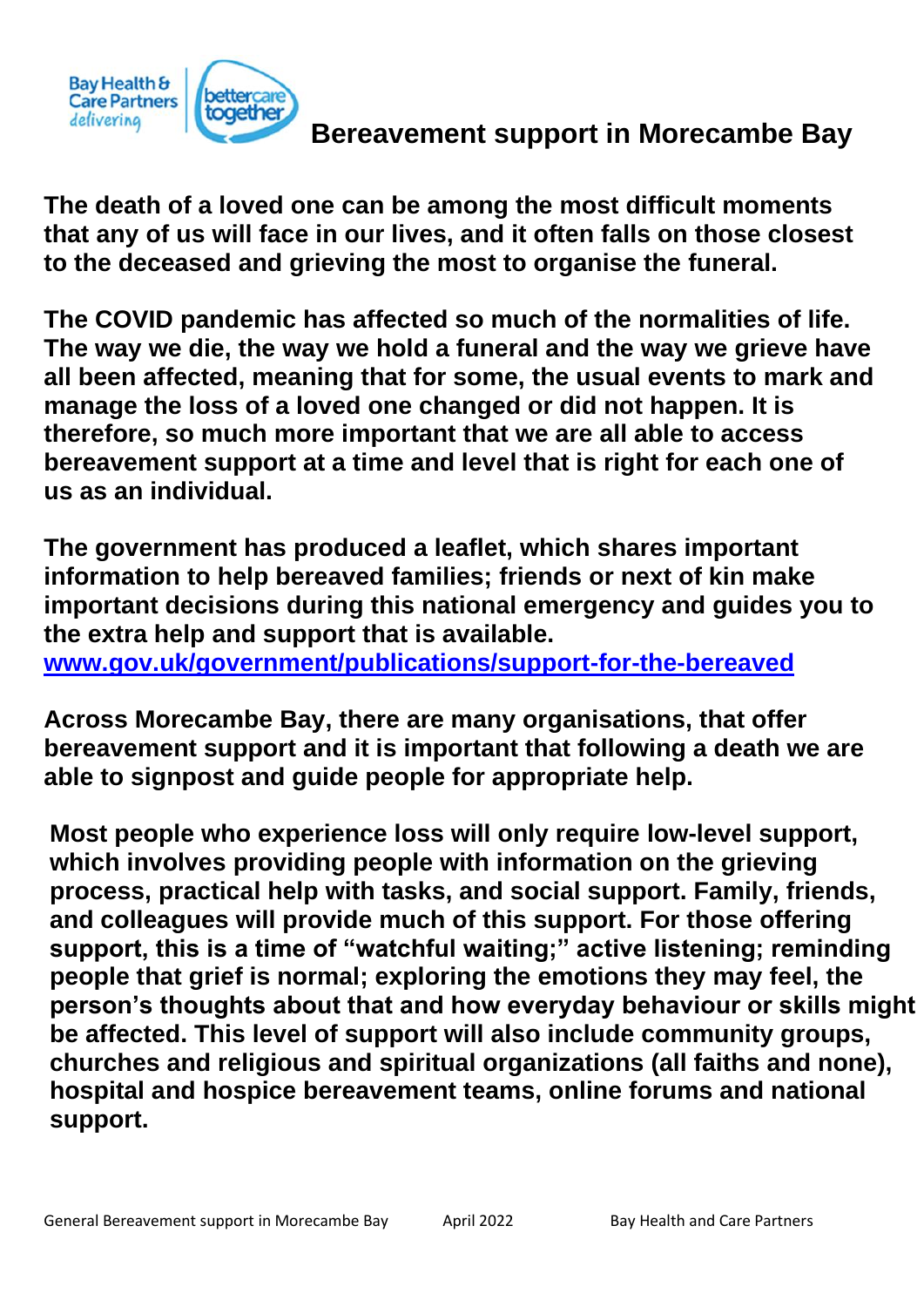

# **Bereavement support in Morecambe Bay**

**The death of a loved one can be among the most difficult moments that any of us will face in our lives, and it often falls on those closest to the deceased and grieving the most to organise the funeral.**

**The COVID pandemic has affected so much of the normalities of life. The way we die, the way we hold a funeral and the way we grieve have all been affected, meaning that for some, the usual events to mark and manage the loss of a loved one changed or did not happen. It is therefore, so much more important that we are all able to access bereavement support at a time and level that is right for each one of us as an individual.** 

**The government has produced a leaflet, which shares important information to help bereaved families; friends or next of kin make important decisions during this national emergency and guides you to the extra help and support that is available. [www.gov.uk/government/publications/support-for-the-bereaved](http://www.gov.uk/government/publications/support-for-the-bereaved)**

**Across Morecambe Bay, there are many organisations, that offer bereavement support and it is important that following a death we are able to signpost and guide people for appropriate help.** 

**Most people who experience loss will only require low-level support, which involves providing people with information on the grieving process, practical help with tasks, and social support. Family, friends, and colleagues will provide much of this support. For those offering support, this is a time of "watchful waiting;" active listening; reminding people that grief is normal; exploring the emotions they may feel, the person's thoughts about that and how everyday behaviour or skills might be affected. This level of support will also include community groups, churches and religious and spiritual organizations (all faiths and none), hospital and hospice bereavement teams, online forums and national support.**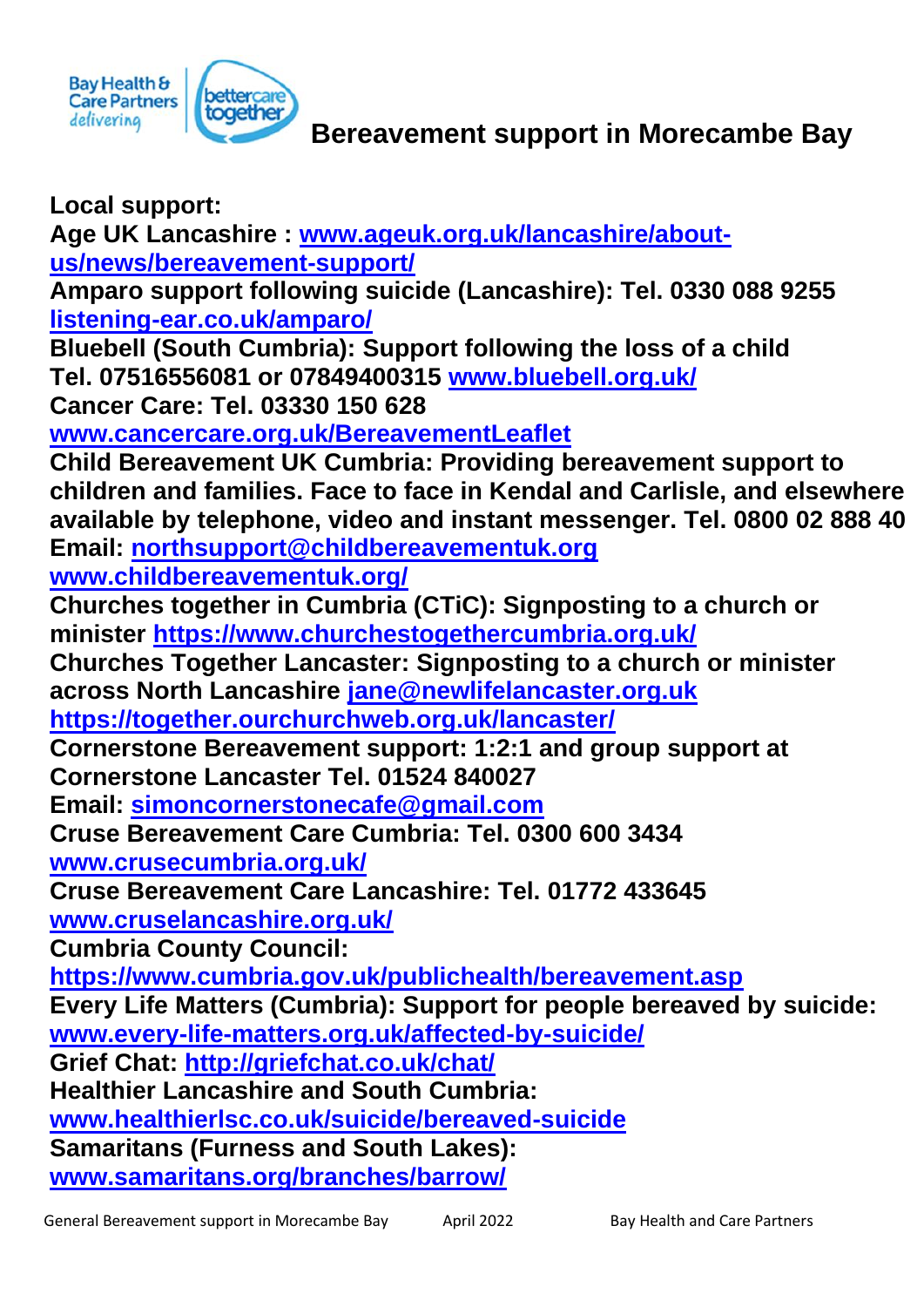

**Local support: Age UK Lancashire : [www.ageuk.org.uk/lancashire/about](http://www.ageuk.org.uk/lancashire/about-us/news/bereavement-support/)[us/news/bereavement-support/](http://www.ageuk.org.uk/lancashire/about-us/news/bereavement-support/) Amparo support following suicide (Lancashire): Tel. 0330 088 9255 [listening-ear.co.uk/amparo/](https://listening-ear.co.uk/amparo/) Bluebell (South Cumbria): Support following the loss of a child Tel. 07516556081 or 07849400315 [www.bluebell.org.uk/](http://www.bluebell.org.uk/) Cancer Care: Tel. 03330 150 628 [www.cancercare.org.uk/BereavementLeaflet](http://www.cancercare.org.uk/BereavementLeaflet) Child Bereavement UK Cumbria: Providing bereavement support to children and families. Face to face in Kendal and Carlisle, and elsewhere available by telephone, video and instant messenger. Tel. 0800 02 888 40 Email: [northsupport@childbereavementuk.org](mailto:northsupport@childbereavementuk.org) [www.childbereavementuk.org/](http://www.childbereavementuk.org/) Churches together in Cumbria (CTiC): Signposting to a church or minister<https://www.churchestogethercumbria.org.uk/> Churches Together Lancaster: Signposting to a church or minister across North Lancashire [jane@newlifelancaster.org.uk](mailto:jane@newlifelancaster.org.uk)  <https://together.ourchurchweb.org.uk/lancaster/> Cornerstone Bereavement support: 1:2:1 and group support at Cornerstone Lancaster Tel. 01524 840027 Email: [simoncornerstonecafe@gmail.com](mailto:simoncornerstonecafe@gmail.com)  Cruse Bereavement Care Cumbria: Tel. 0300 600 3434 [www.crusecumbria.org.uk/](http://www.crusecumbria.org.uk/) Cruse Bereavement Care Lancashire: Tel. 01772 433645 [www.cruselancashire.org.uk/](http://www.cruselancashire.org.uk/) Cumbria County Council: <https://www.cumbria.gov.uk/publichealth/bereavement.asp> Every Life Matters (Cumbria): Support for people bereaved by suicide: [www.every-life-matters.org.uk/affected-by-suicide/](http://www.every-life-matters.org.uk/affected-by-suicide/) Grief Chat:<http://griefchat.co.uk/chat/> Healthier Lancashire and South Cumbria: [www.healthierlsc.co.uk/suicide/bereaved-suicide](http://www.healthierlsc.co.uk/suicide/bereaved-suicide) Samaritans (Furness and South Lakes): [www.samaritans.org/branches/barrow/](http://www.samaritans.org/branches/barrow/)**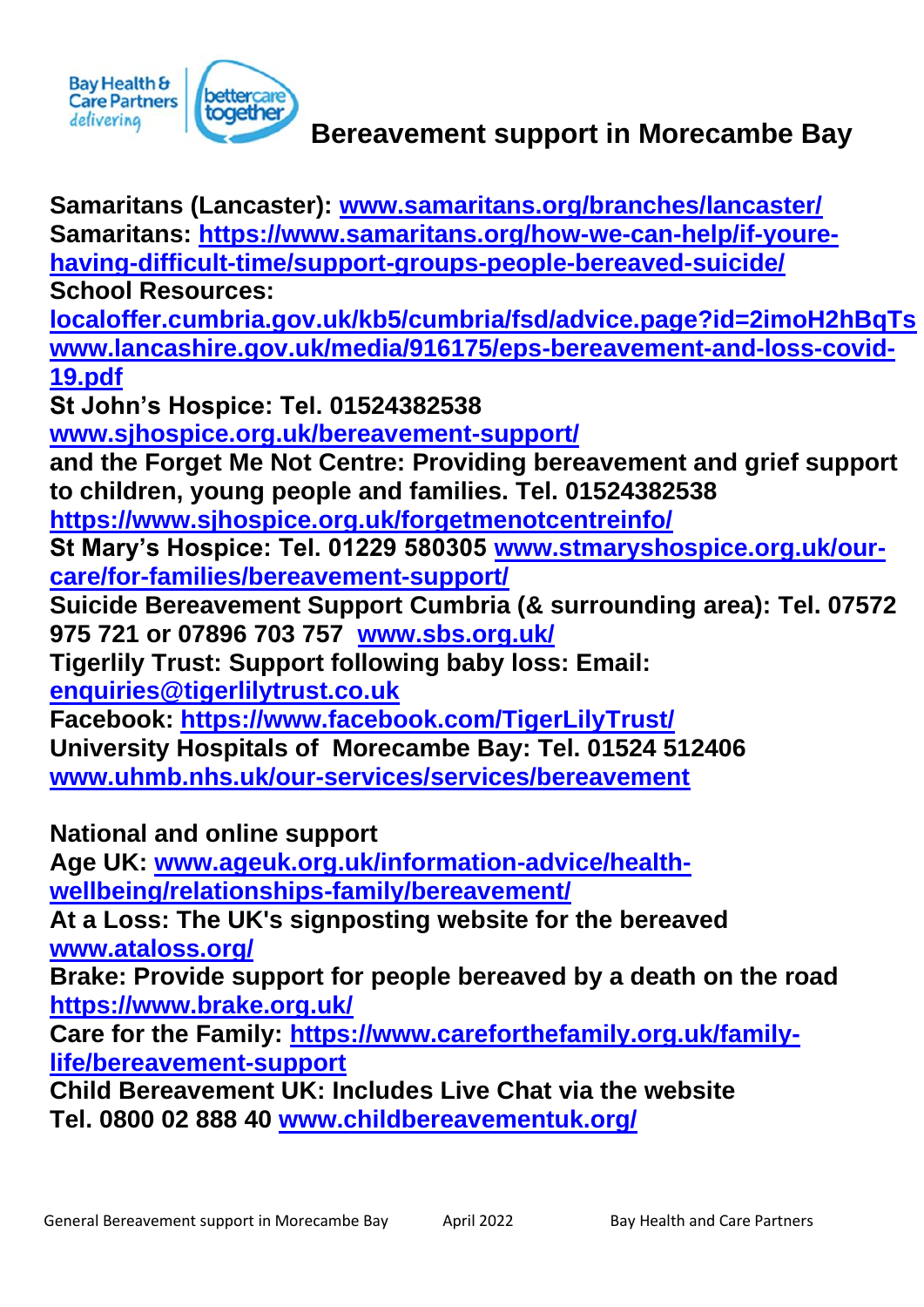

#### **Bereavement support in Morecambe Bay**

**Samaritans (Lancaster): [www.samaritans.org/branches/lancaster/](http://www.samaritans.org/branches/lancaster/) Samaritans: [https://www.samaritans.org/how-we-can-help/if-youre](https://www.samaritans.org/how-we-can-help/if-youre-having-difficult-time/support-groups-people-bereaved-suicide/)[having-difficult-time/support-groups-people-bereaved-suicide/](https://www.samaritans.org/how-we-can-help/if-youre-having-difficult-time/support-groups-people-bereaved-suicide/) School Resources: [localoffer.cumbria.gov.uk/kb5/cumbria/fsd/advice.page?id=2imoH2hBqTs](https://localoffer.cumbria.gov.uk/kb5/cumbria/fsd/advice.page?id=2imoH2hBqTs) [www.lancashire.gov.uk/media/916175/eps-bereavement-and-loss-covid-](http://www.lancashire.gov.uk/media/916175/eps-bereavement-and-loss-covid-19.pdf)[19.pdf](http://www.lancashire.gov.uk/media/916175/eps-bereavement-and-loss-covid-19.pdf) St John's Hospice: Tel. 01524382538 [www.sjhospice.org.uk/bereavement-support/](http://www.sjhospice.org.uk/bereavement-support/) and the Forget Me Not Centre: Providing bereavement and grief support to children, young people and families. Tel. 01524382538 <https://www.sjhospice.org.uk/forgetmenotcentreinfo/> St Mary's Hospice: Tel. 01229 580305 [www.stmaryshospice.org.uk/our](http://www.stmaryshospice.org.uk/our-care/for-families/bereavement-support/)[care/for-families/bereavement-support/](http://www.stmaryshospice.org.uk/our-care/for-families/bereavement-support/) Suicide Bereavement Support Cumbria (& surrounding area): Tel. 07572 975 721 or 07896 703 757 [www.sbs.org.uk/](http://www.sbs.org.uk/)**

**Tigerlily Trust: Support following baby loss: Email:** 

**[enquiries@tigerlilytrust.co.uk](mailto:enquiries@tigerlilytrust.co.uk)**

**Facebook:<https://www.facebook.com/TigerLilyTrust/> University Hospitals of Morecambe Bay: Tel. 01524 512406 [www.uhmb.nhs.uk/our-services/services/bereavement](http://www.uhmb.nhs.uk/our-services/services/bereavement)**

**National and online support**

**Age UK: [www.ageuk.org.uk/information-advice/health](http://www.ageuk.org.uk/information-advice/health-wellbeing/relationships-family/bereavement/)[wellbeing/relationships-family/bereavement/](http://www.ageuk.org.uk/information-advice/health-wellbeing/relationships-family/bereavement/)**

**At a Loss: The UK's signposting website for the bereaved [www.ataloss.org/](http://www.ataloss.org/)**

**Brake: Provide support for people bereaved by a death on the road <https://www.brake.org.uk/>**

**Care for the Family: [https://www.careforthefamily.org.uk/family](https://www.careforthefamily.org.uk/family-life/bereavement-support)[life/bereavement-support](https://www.careforthefamily.org.uk/family-life/bereavement-support)**

**Child Bereavement UK: Includes Live Chat via the website Tel. 0800 02 888 40 [www.childbereavementuk.org/](http://www.childbereavementuk.org/)**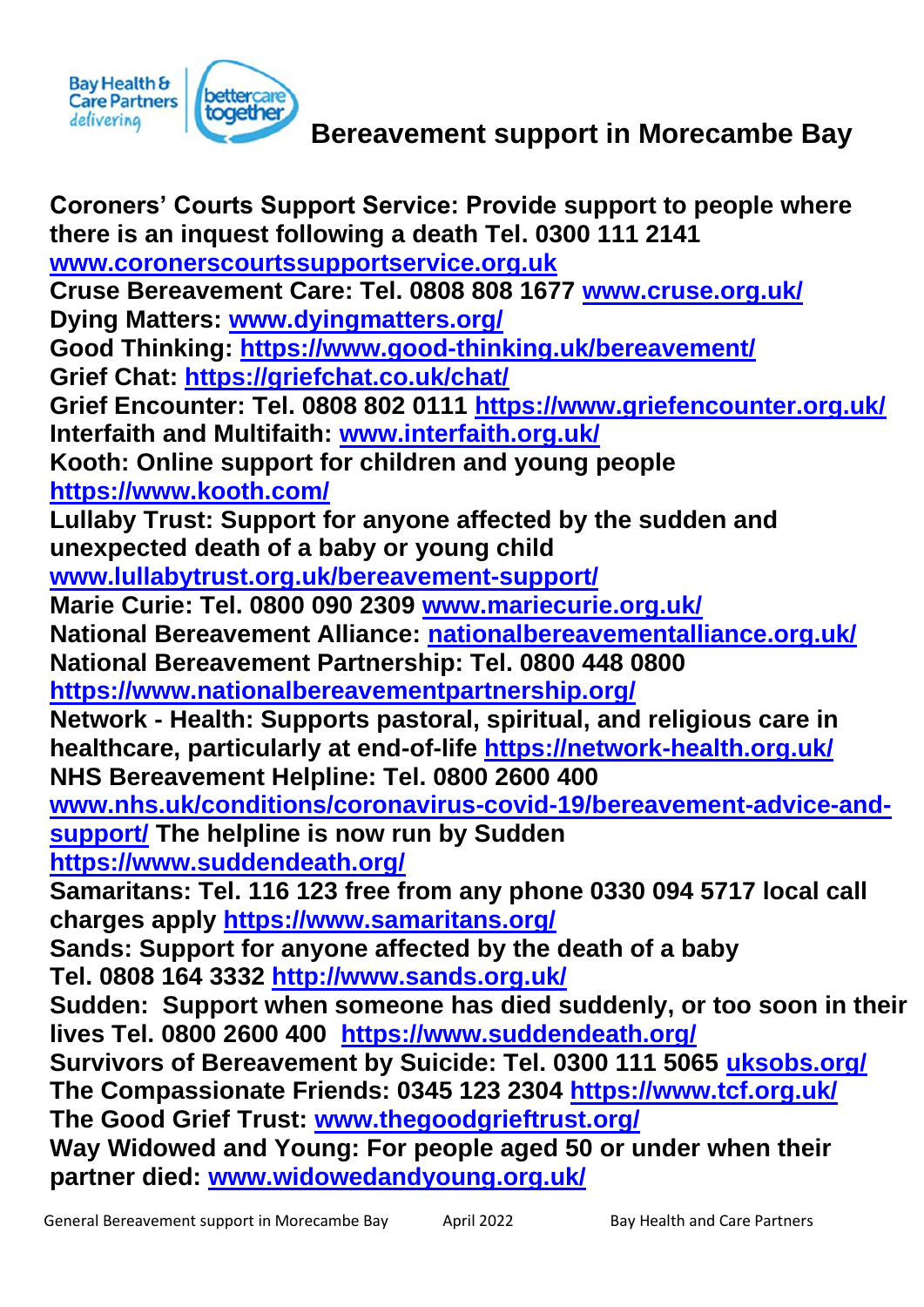

**Coroners' Courts Support Service: Provide support to people where there is an inquest following a death Tel. 0300 111 2141 [www.coronerscourtssupportservice.org.uk](http://www.coronerscourtssupportservice.org.uk/) Cruse Bereavement Care: Tel. 0808 808 1677 [www.cruse.org.uk/](http://www.cruse.org.uk/) Dying Matters: [www.dyingmatters.org/](http://www.dyingmatters.org/) Good Thinking:<https://www.good-thinking.uk/bereavement/> Grief Chat:<https://griefchat.co.uk/chat/> Grief Encounter: Tel. 0808 802 0111<https://www.griefencounter.org.uk/> Interfaith and Multifaith: [www.interfaith.org.uk/](http://www.interfaith.org.uk/) Kooth: Online support for children and young people <https://www.kooth.com/> Lullaby Trust: Support for anyone affected by the sudden and unexpected death of a baby or young child [www.lullabytrust.org.uk/bereavement-support/](http://www.lullabytrust.org.uk/bereavement-support/) Marie Curie: Tel. 0800 090 2309 [www.mariecurie.org.uk/](http://www.mariecurie.org.uk/) National Bereavement Alliance: [nationalbereavementalliance.org.uk/](https://nationalbereavementalliance.org.uk/) National Bereavement Partnership: Tel. 0800 448 0800 <https://www.nationalbereavementpartnership.org/> Network - Health: Supports pastoral, spiritual, and religious care in healthcare, particularly at end-of-life<https://network-health.org.uk/> NHS Bereavement Helpline: Tel. 0800 2600 400 [www.nhs.uk/conditions/coronavirus-covid-19/bereavement-advice-and](http://www.nhs.uk/conditions/coronavirus-covid-19/bereavement-advice-and-support/)[support/](http://www.nhs.uk/conditions/coronavirus-covid-19/bereavement-advice-and-support/) The helpline is now run by Sudden <https://www.suddendeath.org/> Samaritans: Tel. 116 123 free from any phone 0330 094 5717 local call charges apply<https://www.samaritans.org/> Sands: Support for anyone affected by the death of a baby Tel. 0808 164 3332<http://www.sands.org.uk/> Sudden: Support when someone has died suddenly, or too soon in their lives Tel. 0800 2600 400 <https://www.suddendeath.org/> Survivors of Bereavement by Suicide: Tel. 0300 111 5065 [uksobs.org/](https://uksobs.org/) The Compassionate Friends: 0345 123 2304<https://www.tcf.org.uk/> The Good Grief Trust: [www.thegoodgrieftrust.org/](http://www.thegoodgrieftrust.org/) Way Widowed and Young: For people aged 50 or under when their partner died: [www.widowedandyoung.org.uk/](http://www.widowedandyoung.org.uk/)**

Bay Health &<br>Care Partners

delivering

**pettercare**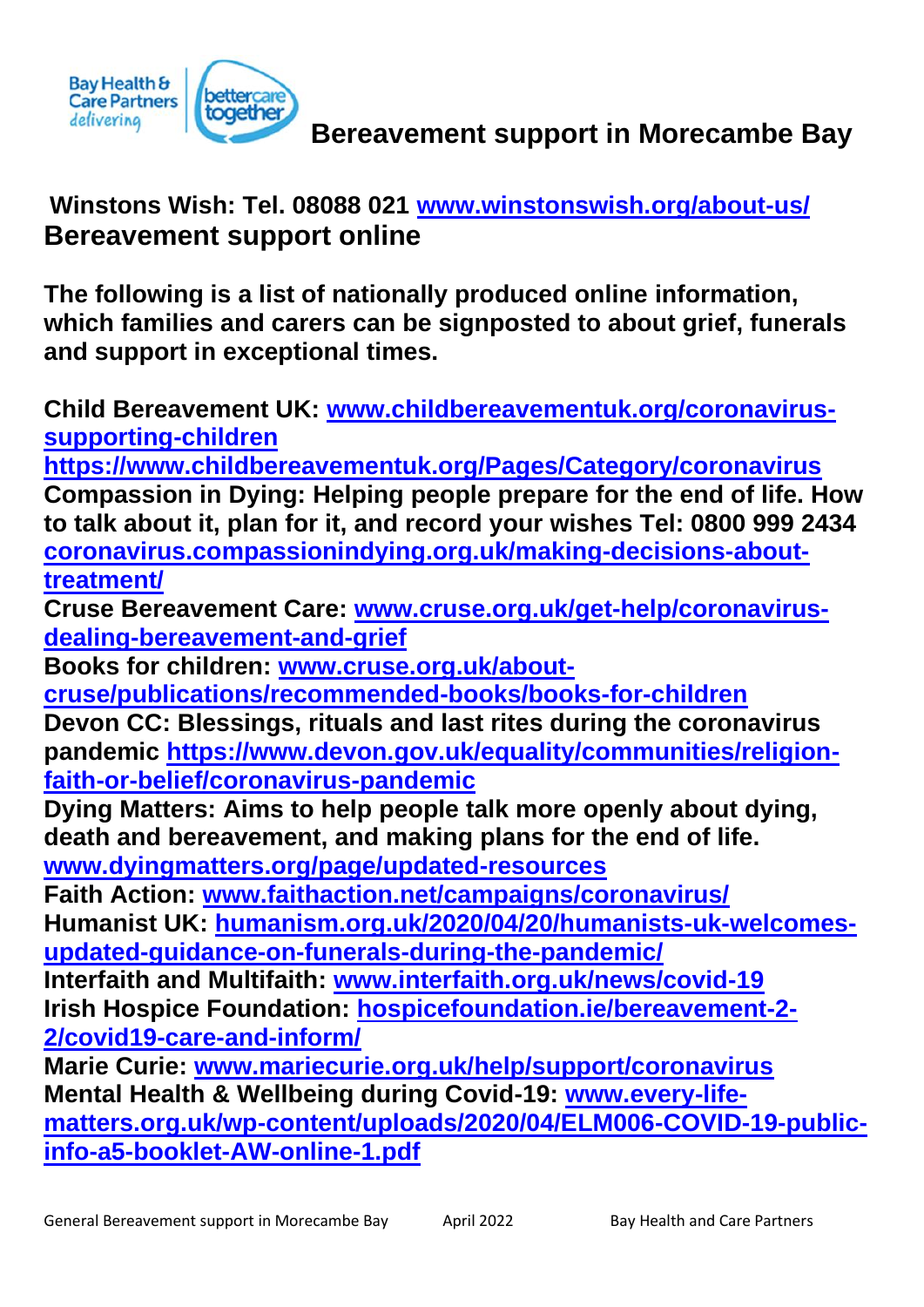

# **Winstons Wish: Tel. 08088 021 [www.winstonswish.org/about-us/](http://www.winstonswish.org/about-us/) Bereavement support online**

**The following is a list of nationally produced online information, which families and carers can be signposted to about grief, funerals and support in exceptional times.**

**Child Bereavement UK: [www.childbereavementuk.org/coronavirus](http://www.childbereavementuk.org/coronavirus-supporting-children)[supporting-children](http://www.childbereavementuk.org/coronavirus-supporting-children)**

**https://www.childbereavementuk.org/Pages/Category/coronavirus Compassion in Dying: Helping people prepare for the end of life. How to talk about it, plan for it, and record your wishes Tel: 0800 999 2434 [coronavirus.compassionindying.org.uk/making-decisions-about](https://coronavirus.compassionindying.org.uk/making-decisions-about-treatment/)[treatment/](https://coronavirus.compassionindying.org.uk/making-decisions-about-treatment/)**

**Cruse Bereavement Care: [www.cruse.org.uk/get-help/coronavirus](http://www.cruse.org.uk/get-help/coronavirus-dealing-bereavement-and-grief)[dealing-bereavement-and-grief](http://www.cruse.org.uk/get-help/coronavirus-dealing-bereavement-and-grief)**

**Books for children: [www.cruse.org.uk/about-](http://www.cruse.org.uk/about-cruse/publications/recommended-books/books-for-children)**

**[cruse/publications/recommended-books/books-for-children](http://www.cruse.org.uk/about-cruse/publications/recommended-books/books-for-children)**

**Devon CC: Blessings, rituals and last rites during the coronavirus pandemic [https://www.devon.gov.uk/equality/communities/religion](https://www.devon.gov.uk/equality/communities/religion-faith-or-belief/coronavirus-pandemic)[faith-or-belief/coronavirus-pandemic](https://www.devon.gov.uk/equality/communities/religion-faith-or-belief/coronavirus-pandemic)**

**Dying Matters: Aims to help people talk more openly about dying, death and bereavement, and making plans for the end of life. [www.dyingmatters.org/page/updated-resources](http://www.dyingmatters.org/page/updated-resources)**

**Faith Action: [www.faithaction.net/campaigns/coronavirus/](http://www.faithaction.net/campaigns/coronavirus/) Humanist UK: [humanism.org.uk/2020/04/20/humanists-uk-welcomes](https://humanism.org.uk/2020/04/20/humanists-uk-welcomes-updated-guidance-on-funerals-during-the-pandemic/)[updated-guidance-on-funerals-during-the-pandemic/](https://humanism.org.uk/2020/04/20/humanists-uk-welcomes-updated-guidance-on-funerals-during-the-pandemic/)**

**Interfaith and Multifaith: [www.interfaith.org.uk/news/covid-19](http://www.interfaith.org.uk/news/covid-19) Irish Hospice Foundation: [hospicefoundation.ie/bereavement-2-](https://hospicefoundation.ie/bereavement-2-2/covid19-care-and-inform/) [2/covid19-care-and-inform/](https://hospicefoundation.ie/bereavement-2-2/covid19-care-and-inform/)**

**Marie Curie: [www.mariecurie.org.uk/help/support/coronavirus](http://www.mariecurie.org.uk/help/support/coronavirus) Mental Health & Wellbeing during Covid-19: [www.every-life](http://www.every-life-matters.org.uk/wp-content/uploads/2020/04/ELM006-COVID-19-public-info-a5-booklet-AW-online-1.pdf)[matters.org.uk/wp-content/uploads/2020/04/ELM006-COVID-19-public](http://www.every-life-matters.org.uk/wp-content/uploads/2020/04/ELM006-COVID-19-public-info-a5-booklet-AW-online-1.pdf)[info-a5-booklet-AW-online-1.pdf](http://www.every-life-matters.org.uk/wp-content/uploads/2020/04/ELM006-COVID-19-public-info-a5-booklet-AW-online-1.pdf)**